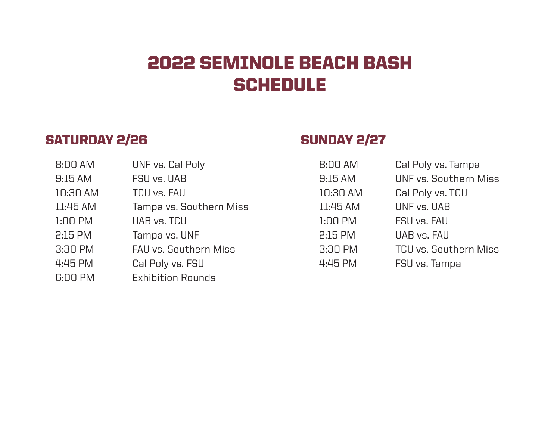# 2022 SEMINOLE BEACH BASH **SCHEDULE**

## SATURDAY 2/26 SUNDAY 2/27

| 8:00 AM   | UNF vs. Cal Poly             | 8:00 AM   | Cal Poly vs. Tampa           |
|-----------|------------------------------|-----------|------------------------------|
| 9:15AM    | FSU vs. UAB                  | 9:15AM    | UNF vs. Southern Miss        |
| 10:30 AM  | <b>TCU vs. FAU</b>           | 10:30 AM  | Cal Poly vs. TCU             |
| 11:45 AM  | Tampa vs. Southern Miss      | 11:45 AM  | UNF vs. UAB                  |
| $1:00$ PM | UAB vs. TCU                  | $1:00$ PM | FSU vs. FAU                  |
| 2:15 PM   | Tampa vs. UNF                | 2:15 PM   | UAB vs. FAU                  |
| 3:30 PM   | <b>FAU vs. Southern Miss</b> | 3:30 PM   | <b>TCU vs. Southern Miss</b> |
| 4:45 PM   | Cal Poly vs. FSU             | 4:45 PM   | FSU vs. Tampa                |
| 6:00 PM   | <b>Exhibition Rounds</b>     |           |                              |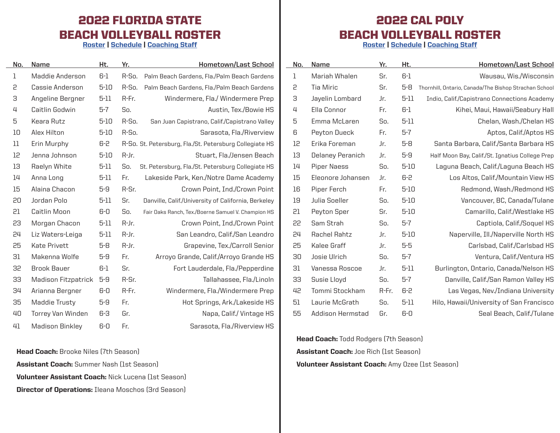#### 2022 FLORIDA STATE BEACH VOLLEYBALL ROSTER

[Roster](https://seminoles.com/sports/beach-volleyball/roster/season/2021-22/) | [Schedule](https://seminoles.com/sports/beach-volleyball/schedule/season/2021-22/) | [Coaching Staff](https://seminoles.com/staff-directory/department/beach-volleyball/)

 $\sim$ 

| No. | Name                       | Ht.      | Yr.   | Hometown/Last School                                    |
|-----|----------------------------|----------|-------|---------------------------------------------------------|
| 1   | Maddie Anderson            | $6-1$    | R-So. | Palm Beach Gardens, Fla./Palm Beach Gardens             |
| 5   | Cassie Anderson            | $5 - 10$ | R-So. | Palm Beach Gardens, Fla./Palm Beach Gardens             |
| З   | Angeline Bergner           | $5 - 11$ | R-Fr. | Windermere, Fla./ Windermere Prep                       |
| 4   | Caitlin Godwin             | 5-7      | So.   | Austin, Tex./Bowie HS                                   |
| 5   | Keara Rutz                 | $5 - 10$ | R-So. | San Juan Capistrano, Calif./Capistrano Valley           |
| 10  | Alex Hilton                | $5 - 10$ | R-So. | Sarasota, Fla./Riverview                                |
| 11  | Erin Murphy                | 6-2      |       | R-So. St. Petersburg, Fla./St. Petersburg Collegiate HS |
| 12  | Jenna Johnson              | 5-10     | R-Jr. | Stuart, Fla./Jensen Beach                               |
| 13  | Raelyn White               | 5-11     | So.   | St. Petersburg, Fla./St. Petersburg Collegiate HS       |
| 14  | Anna Long                  | $5 - 11$ | Fr.   | Lakeside Park, Ken./Notre Dame Academy                  |
| 15  | Alaina Chacon              | 5-9      | R-Sr. | Crown Point, Ind./Crown Point                           |
| 20  | Jordan Polo                | $5 - 11$ | Sr.   | Danville, Calif./University of California, Berkeley     |
| 51  | Caitlin Moon               | $6-0$    | So.   | Fair Oaks Ranch, Tex./Boerne Samuel V. Champion HS      |
| 53  | Morgan Chacon              | $5-11$   | R-Jr. | Crown Point, Ind./Crown Point                           |
| 24  | Liz Waters-Leiga           | $5 - 11$ | R-Jr. | San Leandro, Calif./San Leandro                         |
| 25  | <b>Kate Privett</b>        | $5 - 8$  | R-Jr. | Grapevine, Tex./Carroll Senior                          |
| 31  | Makenna Wolfe              | $5-9$    | Fr.   | Arroyo Grande, Calif./Arroyo Grande HS                  |
| 35  | Brook Bauer                | 6-1      | Sr.   | Fort Lauderdale, Fla./Pepperdine                        |
| 33  | <b>Madison Fitzpatrick</b> | $5-9$    | R-Sr. | Tallahassee, Fla./Linoln                                |
| 34  | Arianna Bergner            | 6-0      | R-Fr. | Windermere, Fla./Windermere Prep                        |
| 35  | Maddie Trusty              | $5-9$    | Fr.   | Hot Springs, Ark./Lakeside HS                           |
| 40  | <b>Torrey Van Winden</b>   | 6-3      | Gr.   | Napa, Calif./Vintage HS                                 |
| 41  | Madison Binklev            | 6-0      | Fr.   | Sarasota, Fla./Riverview HS                             |

**Head Coach:** Brooke Niles (7th Season) **Assistant Coach:** Summer Nash (1st Season) Volunteer Assistant Coach: Nick Lucena (1st Season) Director of Operations: Ileana Moschos (3rd Season)

#### 2022 CAL POLY BEACH VOLLEYBALL ROSTER

[Roster](https://gopoly.com/sports/womens-beach-volleyball/roster) | [Schedule](https://gopoly.com/sports/womens-beach-volleyball/schedule) | [Coaching Staff](https://gopoly.com/sports/womens-beach-volleyball/roster#sidearm-roster-coaches)

| No. | Name               | Yr.   | Ht.      | <b>Hometown/Last School</b>                           |
|-----|--------------------|-------|----------|-------------------------------------------------------|
| 1   | Mariah Whalen      | Sr.   | $6-1$    | Wausau, Wis./Wisconsin                                |
| 5   | Tia Miric          | Sr.   | $5 - 8$  | Thornhill, Ontario, Canada/The Bishop Strachan School |
| З   | Jayelin Lombard    | Jr.   | $5 - 11$ | Indio, Calif./Capistrano Connections Academy          |
| 4   | Ella Connor        | Fr.   | 6-1      | Kihei, Maui, Hawaii/Seabury Hall                      |
| 5   | Emma McLaren       | So.   | $5 - 11$ | Chelan, Wash./Chelan HS                               |
| 6   | Peyton Dueck       | Fr.   | $5-7$    | Aptos, Calif./Aptos HS                                |
| 12  | Erika Foreman      | Jr.   | $5-8$    | Santa Barbara, Calif./Santa Barbara HS                |
| 13  | Delaney Peranich   | Jr.   | $5-9$    | Half Moon Bay, Calif./St. Ignatius College Prep       |
| 14  | <b>Piper Naess</b> | So.   | $5 - 10$ | Laguna Beach, Calif./Laguna Beach HS                  |
| 15  | Eleonore Johansen  | Jr.   | 6-2      | Los Altos, Calif./Mountain View HS                    |
| 16  | Piper Ferch        | Fr.   | $5 - 10$ | Redmond, Wash./Redmond HS                             |
| 19  | Julia Soeller      | So.   | $5 - 10$ | Vancouver, BC, Canada/Tulane                          |
| 51  | Peyton Sper        | Sr.   | $5 - 10$ | Camarillo, Calif./Westlake HS                         |
| 55  | Sam Strah          | So.   | $5 - 7$  | Captiola, Calif./Soquel HS                            |
| 24  | Rachel Rahtz       | Jr.   | $5 - 10$ | Naperville, Ill./Naperville North HS                  |
| 25  | Kalee Graff        | Jr.   | $5-5$    | Carlsbad, Calif./Carlsbad HS                          |
| 30  | Josie Ulrich       | So.   | $5-7$    | Ventura, Calif./Ventura HS                            |
| 31  | Vanessa Roscoe     | Jr.   | 5-11     | Burlington, Ontario, Canada/Nelson HS                 |
| 33  | Susie Lloyd        | So.   | $5 - 7$  | Danville, Calif./San Ramon Valley HS                  |
| 42  | Tommi Stockham     | R-Fr. | 6-2      | Las Vegas, Nev./Indiana University                    |
| 51  | Laurie McGrath     | So.   | 5-11     | Hilo, Hawaii/University of San Francisco              |
| 55  | Addison Hermstad   | Gr.   | $6-0$    | Seal Beach, Calif./Tulane                             |

**Head Coach:** Todd Rodgers (7th Season) Assistant Coach: Joe Rich (1st Season) Volunteer Assistant Coach: Amy Ozee (1st Season)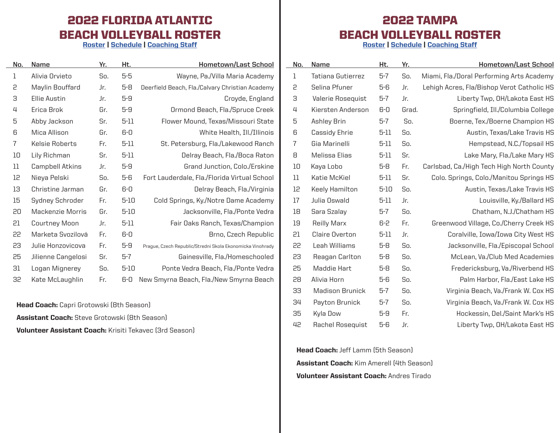### 2022 FLORIDA ATLANTIC BEACH VOLLEYBALL ROSTER

[Roster](https://fausports.com/sports/womens-beach-volleyball/roster) | [Schedule](https://fausports.com/sports/womens-beach-volleyball/schedule) | [Coaching Staff](https://fausports.com/sports/womens-beach-volleyball/roster#sidearm-roster-coaches)

| No. | Name                | Yr. | Ht.      | Hometown/Last School                                      |
|-----|---------------------|-----|----------|-----------------------------------------------------------|
| 1   | Alivia Orvieto      | So. | $5-5$    | Wayne, Pa./Villa Maria Academy                            |
| 5   | Maylin Bouffard     | Jr. | $5-8$    | Deerfield Beach, Fla./Calvary Christian Academy           |
| 3   | <b>Ellie Austin</b> | Jr. | $5-9$    | Croyde, England                                           |
| 4   | Erica Brok          | Gr. | $5-9$    | Ormond Beach, Fla./Spruce Creek                           |
| 5   | Abby Jackson        | Sr. | $5 - 11$ | Flower Mound, Texas/Missouri State                        |
| 6   | Mica Allison        | Gr. | $6-0$    | White Health, Ill./Illinois                               |
| 7   | Kelsie Roberts      | Fr. | $5 - 11$ | St. Petersburg, Fla./Lakewood Ranch                       |
| 10  | Lily Richman        | Sr. | $5 - 11$ | Delray Beach, Fla./Boca Raton                             |
| 11  | Campbell Atkins     | Jr. | $5-9$    | Grand Junction, Colo./Erskine                             |
| 12  | Nieya Pelski        | So. | $5-6$    | Fort Lauderdale, Fla./Florida Virtual School              |
| 13  | Christine Jarman    | Gr. | $6-0$    | Delray Beach, Fla./Virginia                               |
| 15  | Sydney Schroder     | Fr. | $5 - 10$ | Cold Springs, Ky./Notre Dame Academy                      |
| 20  | Mackenzie Morris    | Gr. | $5 - 10$ | Jacksonville, Fla./Ponte Vedra                            |
| 51  | Courtney Moon       | Jr. | $5 - 11$ | Fair Oaks Ranch, Texas/Champion                           |
| 22  | Marketa Svozilová   | Fr. | $6-0$    | Brno, Czech Republic                                      |
| 53  | Julie Honzovicova   | Fr. | $5-9$    | Prague, Czech Republic/Stredni Skola Ekonomicka Vinohrady |
| 25  | Jilienne Cangelosi  | Sr. | $5-7$    | Gainesville, Fla./Homeschooled                            |
| 31  | Logan Mignerey      | So. | $5 - 10$ | Ponte Vedra Beach, Fla./Ponte Vedra                       |
| 35  | Kate McLaughlin     | Fr. | $6-0$    | New Smyrna Beach, Fla./New Smyrna Beach                   |

**Head Coach:** Capri Grotowski (8th Season) Assistant Coach: Steve Grotowski (8th Season) Volunteer Assistant Coach: Krisiti Tekavec (3rd Season)

#### 2022 TAMPA BEACH VOLLEYBALL ROSTER

[Roster](https://www.tampaspartans.com/sports/beachvball/2020-21/roster) | [Schedule](https://www.tampaspartans.com/sports/beachvball/2021-22/schedule) | [Coaching Staff](https://www.tampaspartans.com/sports/beachvball/2020-21/roster)

| No. | Name                     | Ht.      | Yr.   | <b>Hometown/Last School</b>                |
|-----|--------------------------|----------|-------|--------------------------------------------|
| l   | <b>Tatiana Gutierrez</b> | $5-7$    | So.   | Miami, Fla./Doral Performing Arts Academy  |
| 5   | Selina Pfuner            | $5-6$    | Jr.   | Lehigh Acres, Fla/Bishop Verot Catholic HS |
| З   | Valerie Rosequist        | $5-7$    | Jr.   | Liberty Twp, OH/Lakota East HS             |
| 4   | Kiersten Anderson        | $6-0$    | Grad. | Springfield, Ill./Columbia College         |
| 5   | Ashley Brin              | $5-7$    | So.   | Boerne, Tex./Boerne Champion HS            |
| 6   | Cassidy Ehrie            | $5 - 11$ | So.   | Austin, Texas/Lake Travis HS               |
| 7   | Gia Marinelli            | $5 - 11$ | So.   | Hempstead, N.C./Topsail HS                 |
| 8   | Melissa Elias            | $5 - 11$ | Sr.   | Lake Mary, Fla./Lake Mary HS               |
| 10  | Kaya Lobo                | $5-8$    | Fr.   | Carlsbad, Ca./High Tech High North County  |
| 11  | Katie McKiel             | $5-11$   | Sr.   | Colo. Springs, Colo./Manitou Springs HS    |
| 12  | Keely Hamilton           | $5 - 10$ | So.   | Austin, Texas./Lake Travis HS              |
| 17  | Julia Oswald             | $5 - 11$ | Jr.   | Louisville, Ky./Ballard HS                 |
| 18  | Sara Szalay              | $5-7$    | So.   | Chatham, N.J./Chatham HS                   |
| 19  | Reilly Marx              | 6-2      | Fr.   | Greenwood Village, Co./Cherry Creek HS     |
| 51  | <b>Claire Overton</b>    | $5-11$   | Jr.   | Coralville, Iowa/Iowa City West HS         |
| 55  | Leah Williams            | $5-8$    | So.   | Jacksonville, Fla./Episcopal School        |
| 53  | Reagan Carlton           | $5-8$    | So.   | McLean, Va./Club Med Academies             |
| 25  | <b>Maddie Hart</b>       | $5-8$    | So.   | Fredericksburg, Va./Riverbend HS           |
| 58  | Alivia Horn              | $5-6$    | So.   | Palm Harbor, Fla./East Lake HS             |
| 33  | <b>Madison Brunick</b>   | $5-7$    | So.   | Virginia Beach, Va./Frank W. Cox HS        |
| 34  | Payton Brunick           | $5-7$    | So.   | Virginia Beach, Va./Frank W. Cox HS        |
| 35  | Kyla Dow                 | $5-9$    | Fr.   | Hockessin, Del./Saint Mark's HS            |
| 42  | Rachel Rosequist         | 5-6      | Jr.   | Liberty Twp, OH/Lakota East HS             |

**Head Coach:** Jeff Lamm (5th Season) Assistant Coach: Kim Amerell (4th Season) Volunteer Assistant Coach: Andres Tirado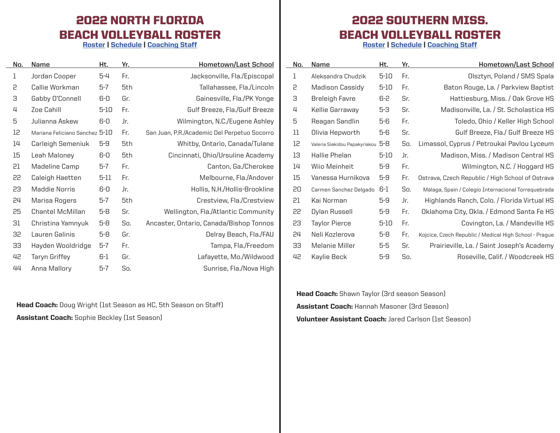#### 2022 NORTH FLORIDA BEACH VOLLEYBALL ROSTER

[Roster](https://unfospreys.com/sports/womens-beach-volleyball/roster) | [Schedule](https://unfospreys.com/sports/womens-beach-volleyball/schedule) | [Coaching Staff](https://unfospreys.com/sports/womens-beach-volleyball/roster#sidearm-roster-coaches)

| No. | Name                           | Ht.      | Yr. | <b>Hometown/Last School</b>                  |
|-----|--------------------------------|----------|-----|----------------------------------------------|
| 1   | Jordan Cooper                  | $5 - 4$  | Fr. | Jacksonville, Fla./Episcopal                 |
| 5   | Callie Workman                 | $5-7$    | 5th | Tallahassee, Fla./Lincoln                    |
| З   | Gabby O'Connell                | 6-0      | Gr. | Gainesville, Fla./PK Yonge                   |
| 4   | Zoe Cahill                     | $5 - 10$ | Fr. | Gulf Breeze, Fla./Gulf Breeze                |
| 5   | Julianna Askew                 | 6-0      | Jr. | Wilmington, N.C./Eugene Ashley               |
| 12  | Mariana Feliciano Sanchez 5-10 |          | Fr. | San Juan, P.R./Academic Del Perpetuo Socorro |
| 14  | Carleigh Semeniuk              | $5-9$    | 5th | Whitby, Ontario, Canada/Tulane               |
| 15  | Leah Maloney                   | 6-0      | 5th | Cincinnati, Ohio/Ursuline Academy            |
| 51  | Madeline Camp                  | 5-7      | Fr. | Canton, Ga./Cherokee                         |
| 55  | Caleigh Haetten                | 5-11     | Fr. | Melbourne, Fla./Andover                      |
| 53  | Maddie Norris                  | 6-0      | Jr. | Hollis, N.H./Hollis-Brookline                |
| 24  | Marisa Rogers                  | 5-7      | 5th | Crestview, Fla./Crestview                    |
| 25  | <b>Chantel McMillan</b>        | $5-8$    | Sr. | Wellington, Fla./Atlantic Community          |
| 31  | Christina Yamnyuk              | $5-8$    | So. | Ancaster, Ontario, Canada/Bishop Tonnos      |
| 35  | Lauren Galinis                 | $5-8$    | Gr. | Delray Beach, Fla./FAU                       |
| 33  | Hayden Wooldridge              | $5-7$    | Fr. | Tampa, Fla./Freedom                          |
| 42  | Taryn Griffey                  | 6-1      | Gr. | Lafayette, Mo./Wildwood                      |
| 44  | Anna Mallory                   | $5 - 7$  | So. | Sunrise, Fla./Nova High                      |

Head Coach: Doug Wright (1st Season as HC, 5th Season on Staff) Assistant Coach: Sophie Beckley (1st Season)

#### 2022 SOUTHERN MISS. BEACH VOLLEYBALL ROSTER

[Roster](https://southernmiss.com/sports/bvb/roster/2022) | [Schedule](https://southernmiss.com/sports/bvb/schedule) | [Coaching Staff](https://southernmiss.com/sports/bvb/roster/2022#sidearm-roster-coaches)

| No. | Name                          | Ht.      | Yr. | Hometown/Last School                                   |
|-----|-------------------------------|----------|-----|--------------------------------------------------------|
| 1   | Aleksandra Chudzik            | 5-10     | Fr. | Olsztyn, Poland / SMS Spala                            |
| 5   | <b>Madison Cassidy</b>        | 5-10     | Fr. | Baton Rouge, La. / Parkview Baptist                    |
| З   | Breleigh Favre                | 6-2      | Sr. | Hattiesburg, Miss. / Oak Grove HS                      |
| 4   | Kellie Garraway               | 5-3      | Sr. | Madisonville, La. / St. Scholastica HS                 |
| 5   | Reagan Sandlin                | 5-6      | Fr. | Toledo, Ohio / Keller High School                      |
| 11  | Olivia Hepworth               | 5-6      | Sr. | Gulf Breeze, Fla./ Gulf Breeze HS                      |
| 12  | Valeria Siakidou Papakyriakou | 5-8      | So. | Limassol, Cyprus / Petroukai Pavlou Lyceum             |
| 13  | Hallie Phelan                 | $5 - 10$ | Jr. | Madison, Miss. / Madison Central HS                    |
| 14  | Wijo Meinheit                 | $5 - 9$  | Fr. | Wilmington, N.C. / Hoggard HS                          |
| 15  | Vanessa Hurnikova             | $5-9$    | Fr. | Ostrava, Czech Republic / High School of Ostrava       |
| 20  | Carmen Sanchez Delgado        | 6-1      | So. | Málaga, Spain / Colegio Internacional Torrequebrada    |
| 51  | Kai Norman                    | 5-9      | Jr. | Highlands Ranch, Colo. / Florida Virtual HS            |
| 55  | Dylan Russell                 | 5-9      | Fr. | Oklahoma City, Okla. / Edmond Santa Fe HS              |
| 53  | Taylor Pierce                 | 5-10     | Fr. | Covington, La. / Mandeville HS                         |
| 24  | Neli Kozlerova                | 5-8      | Fr. | Kojcice, Czech Republic / Medical High School - Prague |
| 33  | Melanie Miller                | 5-5      | Sr. | Prairieville, La. / Saint Joseph's Academy             |
| 42  | Kaylie Beck                   | $5-9$    | So. | Roseville, Calif. / Woodcreek HS                       |

Head Coach: Shawn Taylor (3rd season Season) Assistant Coach: Hannah Masoner (3rd Season) Volunteer Assistant Coach: Jared Carlson (1st Season)